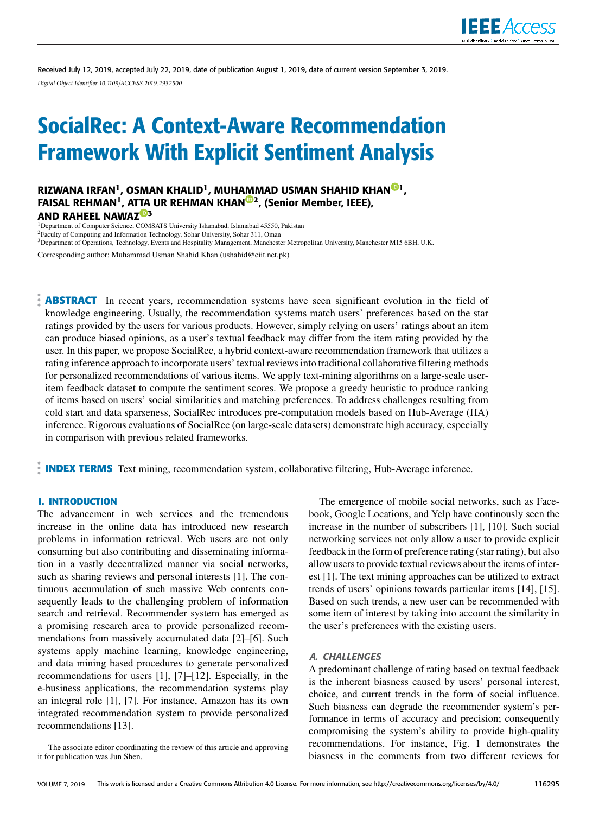

Received July 12, 2019, accepted July 22, 2019, date of publication August 1, 2019, date of current version September 3, 2019. *Digital Object Identifier 10.1109/ACCESS.2019.2932500*

# SocialRec: A Context-Aware Recommendation Framework With Explicit Sentiment Analysis

RIZWANA IRFAN<sup>1</sup>, OSMAN KHALID<sup>1</sup>, MUHAMMAD USMAN SHAHID KHAN<sup>®1</sup>, FAISAL REHMAN<sup>1</sup>, ATTA UR REHMAN KHAN<sup>®2</sup>, (Senior Member, IEEE), AND RAHEEL NAWAZ<sup><sup>®3</sup></sup>

<sup>1</sup>Department of Computer Science, COMSATS University Islamabad, Islamabad 45550, Pakistan <sup>2</sup>Faculty of Computing and Information Technology, Sohar University, Sohar 311, Oman <sup>3</sup>Department of Operations, Technology, Events and Hospitality Management, Manchester Metropolitan University, Manchester M15 6BH, U.K. Corresponding author: Muhammad Usman Shahid Khan (ushahid@ciit.net.pk)

**ABSTRACT** In recent years, recommendation systems have seen significant evolution in the field of knowledge engineering. Usually, the recommendation systems match users' preferences based on the star ratings provided by the users for various products. However, simply relying on users' ratings about an item can produce biased opinions, as a user's textual feedback may differ from the item rating provided by the user. In this paper, we propose SocialRec, a hybrid context-aware recommendation framework that utilizes a rating inference approach to incorporate users' textual reviews into traditional collaborative filtering methods for personalized recommendations of various items. We apply text-mining algorithms on a large-scale useritem feedback dataset to compute the sentiment scores. We propose a greedy heuristic to produce ranking of items based on users' social similarities and matching preferences. To address challenges resulting from cold start and data sparseness, SocialRec introduces pre-computation models based on Hub-Average (HA) inference. Rigorous evaluations of SocialRec (on large-scale datasets) demonstrate high accuracy, especially in comparison with previous related frameworks.

**INDEX TERMS** Text mining, recommendation system, collaborative filtering, Hub-Average inference.

## **I. INTRODUCTION**

The advancement in web services and the tremendous increase in the online data has introduced new research problems in information retrieval. Web users are not only consuming but also contributing and disseminating information in a vastly decentralized manner via social networks, such as sharing reviews and personal interests [1]. The continuous accumulation of such massive Web contents consequently leads to the challenging problem of information search and retrieval. Recommender system has emerged as a promising research area to provide personalized recommendations from massively accumulated data [2]–[6]. Such systems apply machine learning, knowledge engineering, and data mining based procedures to generate personalized recommendations for users [1], [7]–[12]. Especially, in the e-business applications, the recommendation systems play an integral role [1], [7]. For instance, Amazon has its own integrated recommendation system to provide personalized recommendations [13].

The emergence of mobile social networks, such as Facebook, Google Locations, and Yelp have continously seen the increase in the number of subscribers [1], [10]. Such social networking services not only allow a user to provide explicit feedback in the form of preference rating (star rating), but also allow users to provide textual reviews about the items of interest [1]. The text mining approaches can be utilized to extract trends of users' opinions towards particular items [14], [15]. Based on such trends, a new user can be recommended with some item of interest by taking into account the similarity in the user's preferences with the existing users.

# A. CHALLENGES

A predominant challenge of rating based on textual feedback is the inherent biasness caused by users' personal interest, choice, and current trends in the form of social influence. Such biasness can degrade the recommender system's performance in terms of accuracy and precision; consequently compromising the system's ability to provide high-quality recommendations. For instance, Fig. 1 demonstrates the biasness in the comments from two different reviews for

The associate editor coordinating the review of this article and approving it for publication was Jun Shen.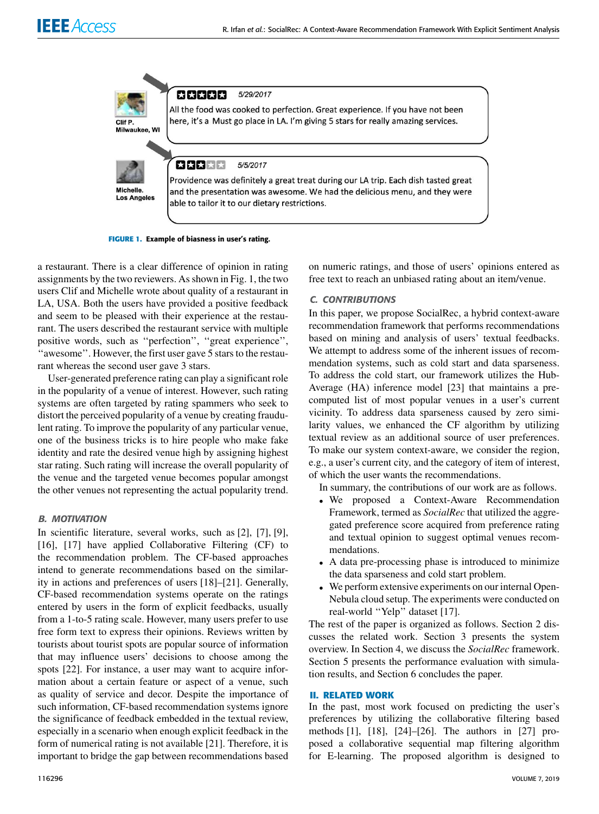

**FIGURE 1.** Example of biasness in user's rating.

a restaurant. There is a clear difference of opinion in rating assignments by the two reviewers. As shown in Fig. 1, the two users Clif and Michelle wrote about quality of a restaurant in LA, USA. Both the users have provided a positive feedback and seem to be pleased with their experience at the restaurant. The users described the restaurant service with multiple positive words, such as ''perfection'', ''great experience'', "awesome". However, the first user gave 5 stars to the restaurant whereas the second user gave 3 stars.

User-generated preference rating can play a significant role in the popularity of a venue of interest. However, such rating systems are often targeted by rating spammers who seek to distort the perceived popularity of a venue by creating fraudulent rating. To improve the popularity of any particular venue, one of the business tricks is to hire people who make fake identity and rate the desired venue high by assigning highest star rating. Such rating will increase the overall popularity of the venue and the targeted venue becomes popular amongst the other venues not representing the actual popularity trend.

# B. MOTIVATION

In scientific literature, several works, such as [2], [7], [9], [16], [17] have applied Collaborative Filtering (CF) to the recommendation problem. The CF-based approaches intend to generate recommendations based on the similarity in actions and preferences of users [18]–[21]. Generally, CF-based recommendation systems operate on the ratings entered by users in the form of explicit feedbacks, usually from a 1-to-5 rating scale. However, many users prefer to use free form text to express their opinions. Reviews written by tourists about tourist spots are popular source of information that may influence users' decisions to choose among the spots [22]. For instance, a user may want to acquire information about a certain feature or aspect of a venue, such as quality of service and decor. Despite the importance of such information, CF-based recommendation systems ignore the significance of feedback embedded in the textual review, especially in a scenario when enough explicit feedback in the form of numerical rating is not available [21]. Therefore, it is important to bridge the gap between recommendations based on numeric ratings, and those of users' opinions entered as free text to reach an unbiased rating about an item/venue.

# C. CONTRIBUTIONS

In this paper, we propose SocialRec, a hybrid context-aware recommendation framework that performs recommendations based on mining and analysis of users' textual feedbacks. We attempt to address some of the inherent issues of recommendation systems, such as cold start and data sparseness. To address the cold start, our framework utilizes the Hub-Average (HA) inference model [23] that maintains a precomputed list of most popular venues in a user's current vicinity. To address data sparseness caused by zero similarity values, we enhanced the CF algorithm by utilizing textual review as an additional source of user preferences. To make our system context-aware, we consider the region, e.g., a user's current city, and the category of item of interest, of which the user wants the recommendations.

In summary, the contributions of our work are as follows.

- We proposed a Context-Aware Recommendation Framework, termed as *SocialRec* that utilized the aggregated preference score acquired from preference rating and textual opinion to suggest optimal venues recommendations.
- A data pre-processing phase is introduced to minimize the data sparseness and cold start problem.
- We perform extensive experiments on our internal Open-Nebula cloud setup. The experiments were conducted on real-world ''Yelp'' dataset [17].

The rest of the paper is organized as follows. Section 2 discusses the related work. Section 3 presents the system overview. In Section 4, we discuss the *SocialRec* framework. Section 5 presents the performance evaluation with simulation results, and Section 6 concludes the paper.

## **II. RELATED WORK**

In the past, most work focused on predicting the user's preferences by utilizing the collaborative filtering based methods [1], [18], [24]–[26]. The authors in [27] proposed a collaborative sequential map filtering algorithm for E-learning. The proposed algorithm is designed to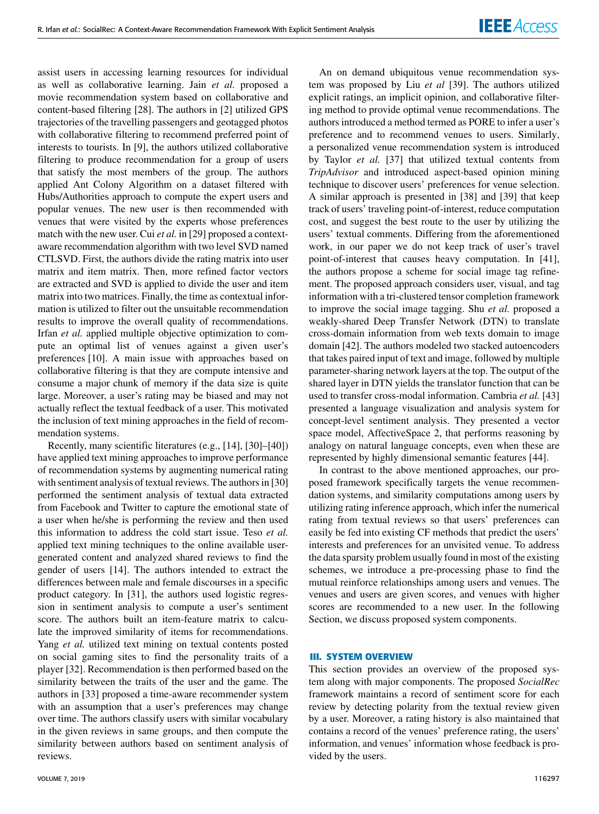assist users in accessing learning resources for individual as well as collaborative learning. Jain *et al.* proposed a movie recommendation system based on collaborative and content-based filtering [28]. The authors in [2] utilized GPS trajectories of the travelling passengers and geotagged photos with collaborative filtering to recommend preferred point of interests to tourists. In [9], the authors utilized collaborative filtering to produce recommendation for a group of users that satisfy the most members of the group. The authors applied Ant Colony Algorithm on a dataset filtered with Hubs/Authorities approach to compute the expert users and popular venues. The new user is then recommended with venues that were visited by the experts whose preferences match with the new user. Cui *et al.* in [29] proposed a contextaware recommendation algorithm with two level SVD named CTLSVD. First, the authors divide the rating matrix into user matrix and item matrix. Then, more refined factor vectors are extracted and SVD is applied to divide the user and item matrix into two matrices. Finally, the time as contextual information is utilized to filter out the unsuitable recommendation results to improve the overall quality of recommendations. Irfan *et al.* applied multiple objective optimization to compute an optimal list of venues against a given user's preferences [10]. A main issue with approaches based on collaborative filtering is that they are compute intensive and consume a major chunk of memory if the data size is quite large. Moreover, a user's rating may be biased and may not actually reflect the textual feedback of a user. This motivated the inclusion of text mining approaches in the field of recommendation systems.

Recently, many scientific literatures (e.g., [14], [30]–[40]) have applied text mining approaches to improve performance of recommendation systems by augmenting numerical rating with sentiment analysis of textual reviews. The authors in [30] performed the sentiment analysis of textual data extracted from Facebook and Twitter to capture the emotional state of a user when he/she is performing the review and then used this information to address the cold start issue. Teso *et al.* applied text mining techniques to the online available usergenerated content and analyzed shared reviews to find the gender of users [14]. The authors intended to extract the differences between male and female discourses in a specific product category. In [31], the authors used logistic regression in sentiment analysis to compute a user's sentiment score. The authors built an item-feature matrix to calculate the improved similarity of items for recommendations. Yang *et al.* utilized text mining on textual contents posted on social gaming sites to find the personality traits of a player [32]. Recommendation is then performed based on the similarity between the traits of the user and the game. The authors in [33] proposed a time-aware recommender system with an assumption that a user's preferences may change over time. The authors classify users with similar vocabulary in the given reviews in same groups, and then compute the similarity between authors based on sentiment analysis of reviews.

VOLUME 7, 2019 116297

An on demand ubiquitous venue recommendation system was proposed by Liu *et al* [39]. The authors utilized explicit ratings, an implicit opinion, and collaborative filtering method to provide optimal venue recommendations. The authors introduced a method termed as PORE to infer a user's preference and to recommend venues to users. Similarly, a personalized venue recommendation system is introduced by Taylor *et al.* [37] that utilized textual contents from *TripAdvisor* and introduced aspect-based opinion mining technique to discover users' preferences for venue selection. A similar approach is presented in [38] and [39] that keep track of users' traveling point-of-interest, reduce computation cost, and suggest the best route to the user by utilizing the users' textual comments. Differing from the aforementioned work, in our paper we do not keep track of user's travel point-of-interest that causes heavy computation. In [41], the authors propose a scheme for social image tag refinement. The proposed approach considers user, visual, and tag information with a tri-clustered tensor completion framework to improve the social image tagging. Shu *et al.* proposed a weakly-shared Deep Transfer Network (DTN) to translate cross-domain information from web texts domain to image domain [42]. The authors modeled two stacked autoencoders that takes paired input of text and image, followed by multiple parameter-sharing network layers at the top. The output of the shared layer in DTN yields the translator function that can be used to transfer cross-modal information. Cambria *et al.* [43] presented a language visualization and analysis system for concept-level sentiment analysis. They presented a vector space model, AffectiveSpace 2, that performs reasoning by analogy on natural language concepts, even when these are represented by highly dimensional semantic features [44].

In contrast to the above mentioned approaches, our proposed framework specifically targets the venue recommendation systems, and similarity computations among users by utilizing rating inference approach, which infer the numerical rating from textual reviews so that users' preferences can easily be fed into existing CF methods that predict the users' interests and preferences for an unvisited venue. To address the data sparsity problem usually found in most of the existing schemes, we introduce a pre-processing phase to find the mutual reinforce relationships among users and venues. The venues and users are given scores, and venues with higher scores are recommended to a new user. In the following Section, we discuss proposed system components.

#### **III. SYSTEM OVERVIEW**

This section provides an overview of the proposed system along with major components. The proposed *SocialRec* framework maintains a record of sentiment score for each review by detecting polarity from the textual review given by a user. Moreover, a rating history is also maintained that contains a record of the venues' preference rating, the users' information, and venues' information whose feedback is provided by the users.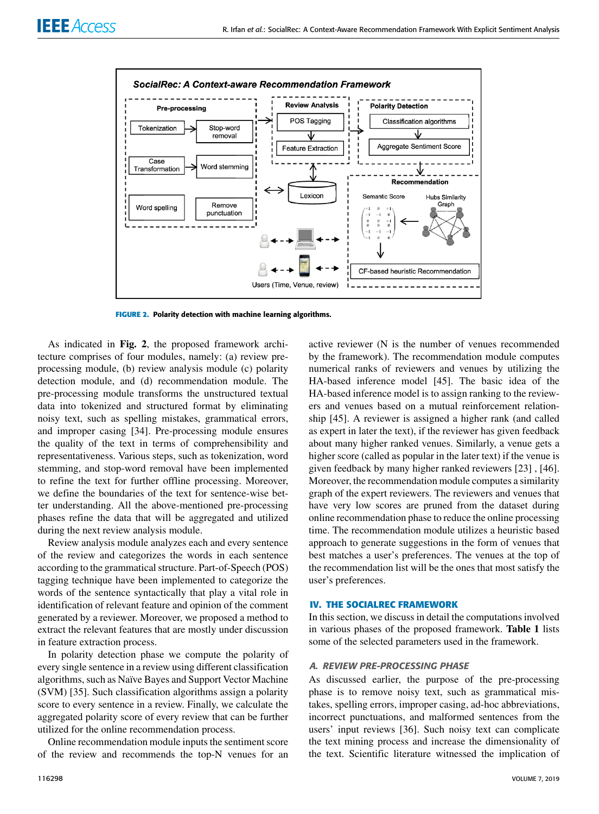

**FIGURE 2.** Polarity detection with machine learning algorithms.

As indicated in **Fig. 2**, the proposed framework architecture comprises of four modules, namely: (a) review preprocessing module, (b) review analysis module (c) polarity detection module, and (d) recommendation module. The pre-processing module transforms the unstructured textual data into tokenized and structured format by eliminating noisy text, such as spelling mistakes, grammatical errors, and improper casing [34]. Pre-processing module ensures the quality of the text in terms of comprehensibility and representativeness. Various steps, such as tokenization, word stemming, and stop-word removal have been implemented to refine the text for further offline processing. Moreover, we define the boundaries of the text for sentence-wise better understanding. All the above-mentioned pre-processing phases refine the data that will be aggregated and utilized during the next review analysis module.

Review analysis module analyzes each and every sentence of the review and categorizes the words in each sentence according to the grammatical structure. Part-of-Speech (POS) tagging technique have been implemented to categorize the words of the sentence syntactically that play a vital role in identification of relevant feature and opinion of the comment generated by a reviewer. Moreover, we proposed a method to extract the relevant features that are mostly under discussion in feature extraction process.

In polarity detection phase we compute the polarity of every single sentence in a review using different classification algorithms, such as Naïve Bayes and Support Vector Machine (SVM) [35]. Such classification algorithms assign a polarity score to every sentence in a review. Finally, we calculate the aggregated polarity score of every review that can be further utilized for the online recommendation process.

Online recommendation module inputs the sentiment score of the review and recommends the top-N venues for an

active reviewer (N is the number of venues recommended by the framework). The recommendation module computes numerical ranks of reviewers and venues by utilizing the HA-based inference model [45]. The basic idea of the HA-based inference model is to assign ranking to the reviewers and venues based on a mutual reinforcement relationship [45]. A reviewer is assigned a higher rank (and called as expert in later the text), if the reviewer has given feedback about many higher ranked venues. Similarly, a venue gets a higher score (called as popular in the later text) if the venue is given feedback by many higher ranked reviewers [23] , [46]. Moreover, the recommendation module computes a similarity graph of the expert reviewers. The reviewers and venues that have very low scores are pruned from the dataset during online recommendation phase to reduce the online processing time. The recommendation module utilizes a heuristic based approach to generate suggestions in the form of venues that best matches a user's preferences. The venues at the top of the recommendation list will be the ones that most satisfy the user's preferences.

#### **IV. THE SOCIALREC FRAMEWORK**

In this section, we discuss in detail the computations involved in various phases of the proposed framework. **Table 1** lists some of the selected parameters used in the framework.

#### A. REVIEW PRE-PROCESSING PHASE

As discussed earlier, the purpose of the pre-processing phase is to remove noisy text, such as grammatical mistakes, spelling errors, improper casing, ad-hoc abbreviations, incorrect punctuations, and malformed sentences from the users' input reviews [36]. Such noisy text can complicate the text mining process and increase the dimensionality of the text. Scientific literature witnessed the implication of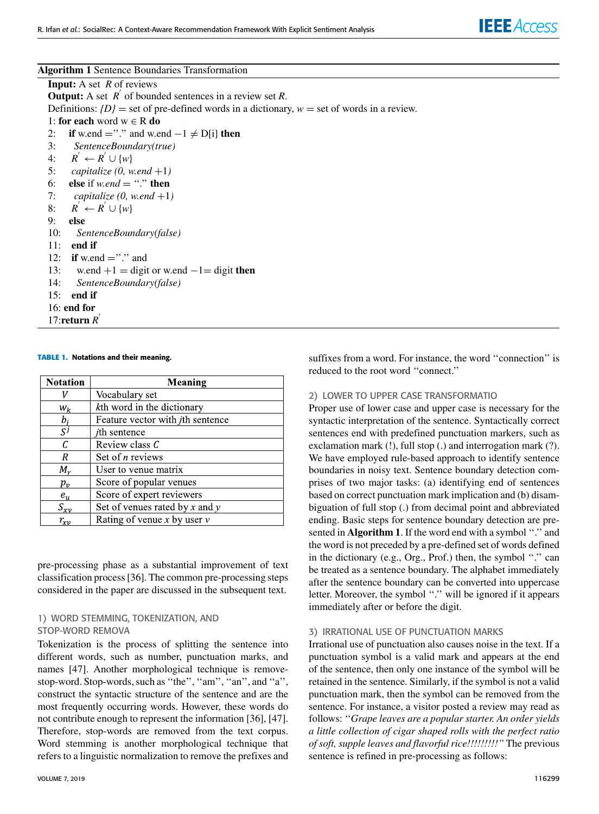**IEEE** Access

#### **Algorithm 1** Sentence Boundaries Transformation

**Input:** A set *R* of reviews **Output:** A set  $R'$  of bounded sentences in a review set  $R$ . Definitions:  $\{D\}$  = set of pre-defined words in a dictionary, *w* = set of words in a review. 1: **for each** word w ∈ R **do** 2: **if** w.end ="." and w.end  $-1 \neq D[i]$  **then** 3: *SentenceBoundary(true)* 4:  $R^{'} \leftarrow R^{'} \cup \{w\}$ 5: *capitalize (0, w.end* +1*)* 6: **else** if *w.end* = "." **then** 7: *capitalize (0, w.end* +1*)* 8: *R*  $\kappa' \leftarrow R' \cup \{w\}$ 9: **else** 10: *SentenceBoundary(false)* 11: **end if** 12: **if** w.end  $=$ "." and 13: w.end  $+1$  = digit or w.end  $-1$ = digit **then** 14: *SentenceBoundary(false)* 15: **end if** 16: **end for** 17:**return** *R* ′

#### **TABLE 1.** Notations and their meaning.

| <b>Notation</b>      | Meaning                                  |
|----------------------|------------------------------------------|
|                      | Vocabulary set                           |
| $W_k$                | kth word in the dictionary               |
| $b_i$                | Feature vector with <i>j</i> th sentence |
| $\overrightarrow{S}$ | <i>i</i> th sentence                     |
| C                    | Review class C                           |
| R                    | Set of <i>n</i> reviews                  |
| $M_r$                | User to venue matrix                     |
| $p_v$                | Score of popular venues                  |
| $e_u$                | Score of expert reviewers                |
| $S_{\chi\gamma}$     | Set of venues rated by x and y           |
| $r_{\rm xv}$         | Rating of venue x by user $\nu$          |

pre-processing phase as a substantial improvement of text classification process [36]. The common pre-processing steps considered in the paper are discussed in the subsequent text.

#### 1) WORD STEMMING, TOKENIZATION, AND STOP-WORD REMOVA

Tokenization is the process of splitting the sentence into different words, such as number, punctuation marks, and names [47]. Another morphological technique is removestop-word. Stop-words, such as ''the'', ''am'', ''an'', and ''a'', construct the syntactic structure of the sentence and are the most frequently occurring words. However, these words do not contribute enough to represent the information [36], [47]. Therefore, stop-words are removed from the text corpus. Word stemming is another morphological technique that refers to a linguistic normalization to remove the prefixes and suffixes from a word. For instance, the word ''connection'' is reduced to the root word ''connect.''

## 2) LOWER TO UPPER CASE TRANSFORMATIO

Proper use of lower case and upper case is necessary for the syntactic interpretation of the sentence. Syntactically correct sentences end with predefined punctuation markers, such as exclamation mark (!), full stop (.) and interrogation mark (?). We have employed rule-based approach to identify sentence boundaries in noisy text. Sentence boundary detection comprises of two major tasks: (a) identifying end of sentences based on correct punctuation mark implication and (b) disambiguation of full stop (.) from decimal point and abbreviated ending. Basic steps for sentence boundary detection are presented in **Algorithm 1**. If the word end with a symbol ''.'' and the word is not preceded by a pre-defined set of words defined in the dictionary (e.g., Org., Prof.) then, the symbol ''.'' can be treated as a sentence boundary. The alphabet immediately after the sentence boundary can be converted into uppercase letter. Moreover, the symbol "." will be ignored if it appears immediately after or before the digit.

#### 3) IRRATIONAL USE OF PUNCTUATION MARKS

Irrational use of punctuation also causes noise in the text. If a punctuation symbol is a valid mark and appears at the end of the sentence, then only one instance of the symbol will be retained in the sentence. Similarly, if the symbol is not a valid punctuation mark, then the symbol can be removed from the sentence. For instance, a visitor posted a review may read as follows: ''*Grape leaves are a popular starter. An order yields a little collection of cigar shaped rolls with the perfect ratio of soft, supple leaves and flavorful rice!!!!!!!!!''* The previous sentence is refined in pre-processing as follows: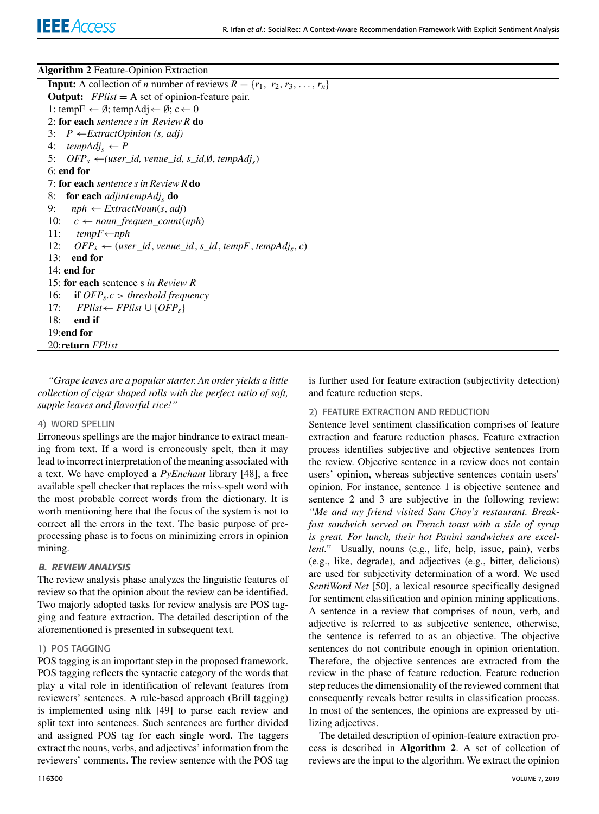# **Algorithm 2** Feature-Opinion Extraction

**Input:** A collection of *n* number of reviews  $R = \{r_1, r_2, r_3, \ldots, r_n\}$ **Output:** *FPlist* = A set of opinion-feature pair. 1: tempF  $\leftarrow \emptyset$ ; tempAdj $\leftarrow \emptyset$ ; c $\leftarrow 0$ 2: **for each** *sentence s in Review R* **do** 3: *P* ←*ExtractOpinion (s, adj)* 4:  $tempAdj_s \leftarrow P$ 5: *OFP<sup>s</sup>* ←*(user\_id, venue\_id, s\_id,*∅, *tempAdj<sup>s</sup>* ) 6: **end for** 7: **for each** *sentence s in Review R* **do** 8: **for each** *adjintempAdj<sup>s</sup>* **do** 9:  $nph \leftarrow ExtractNoun(s, adj)$ 10:  $c \leftarrow \text{noun\_frequent\_count(nph)}$ 11: *tempF*←*nph* 12:  $OFP<sub>s</sub> \leftarrow (user_id, venue_id, s_id, tempF, tempAdj<sub>s</sub>, c)$ 13: **end for** 14: **end for** 15: **for each** sentence s *in Review R* 16: **if**  $OFP<sub>s</sub> c > threshold frequency$ 17: *FPlist*← *FPlist* ∪ {*OFPs*} 18: **end if** 19:**end for** 20:**return** *FPlist*

*''Grape leaves are a popular starter. An order yields a little collection of cigar shaped rolls with the perfect ratio of soft, supple leaves and flavorful rice!''*

## 4) WORD SPELLIN

Erroneous spellings are the major hindrance to extract meaning from text. If a word is erroneously spelt, then it may lead to incorrect interpretation of the meaning associated with a text. We have employed a *PyEnchant* library [48], a free available spell checker that replaces the miss-spelt word with the most probable correct words from the dictionary. It is worth mentioning here that the focus of the system is not to correct all the errors in the text. The basic purpose of preprocessing phase is to focus on minimizing errors in opinion mining.

## B. REVIEW ANALYSIS

The review analysis phase analyzes the linguistic features of review so that the opinion about the review can be identified. Two majorly adopted tasks for review analysis are POS tagging and feature extraction. The detailed description of the aforementioned is presented in subsequent text.

## 1) POS TAGGING

POS tagging is an important step in the proposed framework. POS tagging reflects the syntactic category of the words that play a vital role in identification of relevant features from reviewers' sentences. A rule-based approach (Brill tagging) is implemented using nltk [49] to parse each review and split text into sentences. Such sentences are further divided and assigned POS tag for each single word. The taggers extract the nouns, verbs, and adjectives' information from the reviewers' comments. The review sentence with the POS tag

is further used for feature extraction (subjectivity detection) and feature reduction steps.

## 2) FEATURE EXTRACTION AND REDUCTION

Sentence level sentiment classification comprises of feature extraction and feature reduction phases. Feature extraction process identifies subjective and objective sentences from the review. Objective sentence in a review does not contain users' opinion, whereas subjective sentences contain users' opinion. For instance, sentence 1 is objective sentence and sentence 2 and 3 are subjective in the following review: *''Me and my friend visited Sam Choy's restaurant. Breakfast sandwich served on French toast with a side of syrup is great. For lunch, their hot Panini sandwiches are excellent.''* Usually, nouns (e.g., life, help, issue, pain), verbs (e.g., like, degrade), and adjectives (e.g., bitter, delicious) are used for subjectivity determination of a word. We used *SentiWord Net* [50], a lexical resource specifically designed for sentiment classification and opinion mining applications. A sentence in a review that comprises of noun, verb, and adjective is referred to as subjective sentence, otherwise, the sentence is referred to as an objective. The objective sentences do not contribute enough in opinion orientation. Therefore, the objective sentences are extracted from the review in the phase of feature reduction. Feature reduction step reduces the dimensionality of the reviewed comment that consequently reveals better results in classification process. In most of the sentences, the opinions are expressed by utilizing adjectives.

The detailed description of opinion-feature extraction process is described in **Algorithm 2**. A set of collection of reviews are the input to the algorithm. We extract the opinion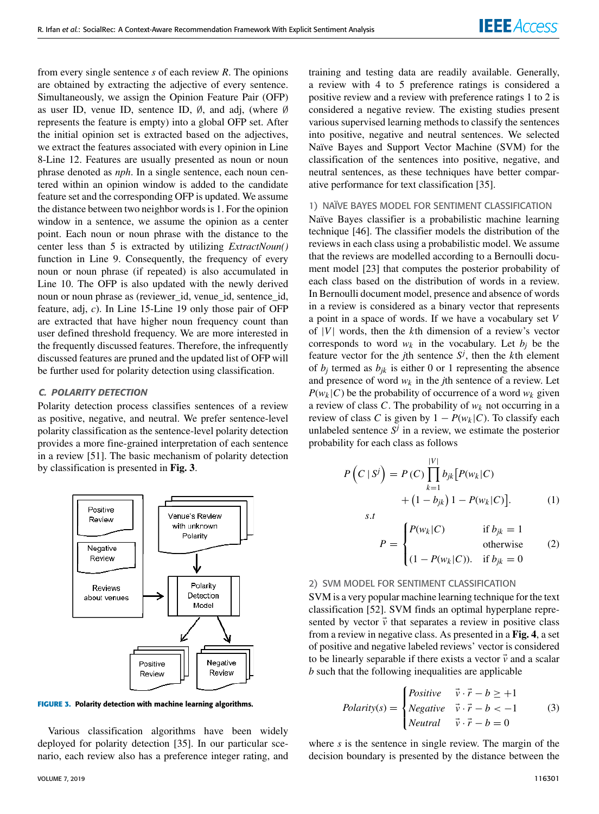from every single sentence *s* of each review *R*. The opinions are obtained by extracting the adjective of every sentence. Simultaneously, we assign the Opinion Feature Pair (OFP) as user ID, venue ID, sentence ID, ∅, and adj, (where ∅ represents the feature is empty) into a global OFP set. After the initial opinion set is extracted based on the adjectives, we extract the features associated with every opinion in Line 8-Line 12. Features are usually presented as noun or noun phrase denoted as *nph*. In a single sentence, each noun centered within an opinion window is added to the candidate feature set and the corresponding OFP is updated. We assume the distance between two neighbor words is 1. For the opinion window in a sentence, we assume the opinion as a center point. Each noun or noun phrase with the distance to the center less than 5 is extracted by utilizing *ExtractNoun()* function in Line 9. Consequently, the frequency of every noun or noun phrase (if repeated) is also accumulated in Line 10. The OFP is also updated with the newly derived noun or noun phrase as (reviewer\_id, venue\_id, sentence\_id, feature, adj, *c*). In Line 15-Line 19 only those pair of OFP are extracted that have higher noun frequency count than user defined threshold frequency. We are more interested in the frequently discussed features. Therefore, the infrequently discussed features are pruned and the updated list of OFP will be further used for polarity detection using classification.

## C. POLARITY DETECTION

Polarity detection process classifies sentences of a review as positive, negative, and neutral. We prefer sentence-level polarity classification as the sentence-level polarity detection provides a more fine-grained interpretation of each sentence in a review [51]. The basic mechanism of polarity detection by classification is presented in **Fig. 3**.



**FIGURE 3.** Polarity detection with machine learning algorithms.

Various classification algorithms have been widely deployed for polarity detection [35]. In our particular scenario, each review also has a preference integer rating, and

training and testing data are readily available. Generally, a review with 4 to 5 preference ratings is considered a positive review and a review with preference ratings 1 to 2 is considered a negative review. The existing studies present various supervised learning methods to classify the sentences into positive, negative and neutral sentences. We selected Naïve Bayes and Support Vector Machine (SVM) for the classification of the sentences into positive, negative, and neutral sentences, as these techniques have better comparative performance for text classification [35].

#### 1) NAÏVE BAYES MODEL FOR SENTIMENT CLASSIFICATION

Naïve Bayes classifier is a probabilistic machine learning technique [46]. The classifier models the distribution of the reviews in each class using a probabilistic model. We assume that the reviews are modelled according to a Bernoulli document model [23] that computes the posterior probability of each class based on the distribution of words in a review. In Bernoulli document model, presence and absence of words in a review is considered as a binary vector that represents a point in a space of words. If we have a vocabulary set *V* of |*V*| words, then the *k*th dimension of a review's vector corresponds to word  $w_k$  in the vocabulary. Let  $b_i$  be the feature vector for the *j*th sentence  $S^j$ , then the *k*th element of  $b_j$  termed as  $b_{jk}$  is either 0 or 1 representing the absence and presence of word  $w_k$  in the *j*th sentence of a review. Let  $P(w_k|C)$  be the probability of occurrence of a word  $w_k$  given a review of class  $C$ . The probability of  $w_k$  not occurring in a review of class *C* is given by  $1 - P(w_k | C)$ . To classify each unlabeled sentence  $S^j$  in a review, we estimate the posterior probability for each class as follows

$$
P(C | S^{j}) = P(C) \prod_{k=1}^{|V|} b_{jk} [P(w_{k} | C) + (1 - b_{jk}) 1 - P(w_{k} | C)].
$$
 (1)

$$
P = \begin{cases} P(w_k|C) & \text{if } b_{jk} = 1 \\ \text{otherwise} \\ (1 - P(w_k|C)). & \text{if } b_{jk} = 0 \end{cases}
$$
 (2)

#### 2) SVM MODEL FOR SENTIMENT CLASSIFICATION

*s*.*t*

SVM is a very popular machine learning technique for the text classification [52]. SVM finds an optimal hyperplane represented by vector  $\vec{v}$  that separates a review in positive class from a review in negative class. As presented in a **Fig. 4**, a set of positive and negative labeled reviews' vector is considered to be linearly separable if there exists a vector  $\vec{v}$  and a scalar *b* such that the following inequalities are applicable

$$
Polarity(s) = \begin{cases} Positive & \vec{v} \cdot \vec{r} - b \ge +1 \\ Negative & \vec{v} \cdot \vec{r} - b < -1 \\ Neural & \vec{v} \cdot \vec{r} - b = 0 \end{cases}
$$
(3)

where *s* is the sentence in single review. The margin of the decision boundary is presented by the distance between the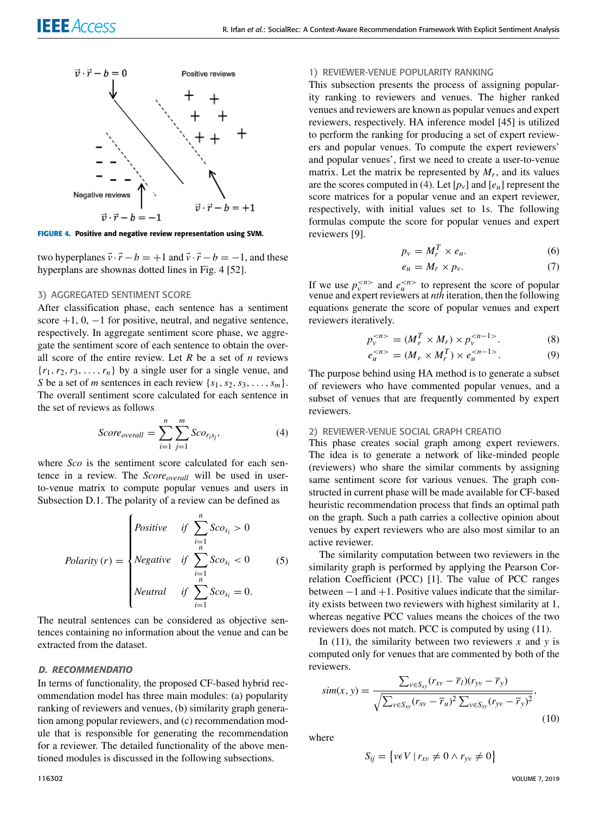

**FIGURE 4.** Positive and negative review representation using SVM.

two hyperplanes  $\vec{v} \cdot \vec{r} - b = +1$  and  $\vec{v} \cdot \vec{r} - b = -1$ , and these hyperplans are shownas dotted lines in Fig. 4 [52].

#### 3) AGGREGATED SENTIMENT SCORE

After classification phase, each sentence has a sentiment score  $+1$ , 0,  $-1$  for positive, neutral, and negative sentence, respectively. In aggregate sentiment score phase, we aggregate the sentiment score of each sentence to obtain the overall score of the entire review. Let *R* be a set of *n* reviews  ${r_1, r_2, r_3, \ldots, r_n}$  by a single user for a single venue, and *S* be a set of *m* sentences in each review  $\{s_1, s_2, s_3, \ldots, s_m\}$ . The overall sentiment score calculated for each sentence in the set of reviews as follows

$$
Score_{overall} = \sum_{i=1}^{n} \sum_{j=1}^{m} Sco_{r_i s_j},
$$
\n(4)

where *Sco* is the sentiment score calculated for each sentence in a review. The *Scoreoverall* will be used in userto-venue matrix to compute popular venues and users in Subsection D.1. The polarity of a review can be defined as

$$
Polarity(r) = \begin{cases} Positive & \text{if } \sum_{i=1}^{n} Sco_{s_i} > 0\\ Negative & \text{if } \sum_{i=1}^{n} Sco_{s_i} < 0\\ Neutral & \text{if } \sum_{i=1}^{n} Sco_{s_i} = 0. \end{cases}
$$
(5)

The neutral sentences can be considered as objective sentences containing no information about the venue and can be extracted from the dataset.

#### D. RECOMMENDATIO

In terms of functionality, the proposed CF-based hybrid recommendation model has three main modules: (a) popularity ranking of reviewers and venues, (b) similarity graph generation among popular reviewers, and (c) recommendation module that is responsible for generating the recommendation for a reviewer. The detailed functionality of the above mentioned modules is discussed in the following subsections.

## 1) REVIEWER-VENUE POPULARITY RANKING

This subsection presents the process of assigning popularity ranking to reviewers and venues. The higher ranked venues and reviewers are known as popular venues and expert reviewers, respectively. HA inference model [45] is utilized to perform the ranking for producing a set of expert reviewers and popular venues. To compute the expert reviewers' and popular venues', first we need to create a user-to-venue matrix. Let the matrix be represented by  $M_r$ , and its values are the scores computed in (4). Let  $[p_v]$  and  $[e_u]$  represent the score matrices for a popular venue and an expert reviewer, respectively, with initial values set to 1s. The following formulas compute the score for popular venues and expert reviewers [9].

$$
p_v = M_r^T \times e_u. \tag{6}
$$

$$
e_u = M_r \times p_v. \tag{7}
$$

If we use  $p_v^{\lt n>}$  and  $e_u^{\lt n>}$  to represent the score of popular venue and expert reviewers at *nth* iteration, then the following equations generate the score of popular venues and expert reviewers iteratively.

$$
p_{v}^{} = (M_{r}^{T} \times M_{r}) \times p_{v}^{}.
$$
 (8)

$$
e_u^{} = (M_r \times M_r^T) \times e_u^{}.
$$
 (9)

The purpose behind using HA method is to generate a subset of reviewers who have commented popular venues, and a subset of venues that are frequently commented by expert reviewers.

#### 2) REVIEWER-VENUE SOCIAL GRAPH CREATIO

This phase creates social graph among expert reviewers. The idea is to generate a network of like-minded people (reviewers) who share the similar comments by assigning same sentiment score for various venues. The graph constructed in current phase will be made available for CF-based heuristic recommendation process that finds an optimal path on the graph. Such a path carries a collective opinion about venues by expert reviewers who are also most similar to an active reviewer.

The similarity computation between two reviewers in the similarity graph is performed by applying the Pearson Correlation Coefficient (PCC) [1]. The value of PCC ranges between  $-1$  and  $+1$ . Positive values indicate that the similarity exists between two reviewers with highest similarity at 1, whereas negative PCC values means the choices of the two reviewers does not match. PCC is computed by using (11).

In (11), the similarity between two reviewers  $x$  and  $y$  is computed only for venues that are commented by both of the reviewers.

$$
sim(x, y) = \frac{\sum_{v \in S_{xy}} (r_{xv} - \overline{r}_l)(r_{yv} - \overline{r}_y)}{\sqrt{\sum_{v \in S_{xy}} (r_{xv} - \overline{r}_u)^2 \sum_{v \in S_{xy}} (r_{yv} - \overline{r}_y)^2}},
$$
\n(10)

where

$$
S_{ij} = \{ v \in V \mid r_{xv} \neq 0 \land r_{yv} \neq 0 \}
$$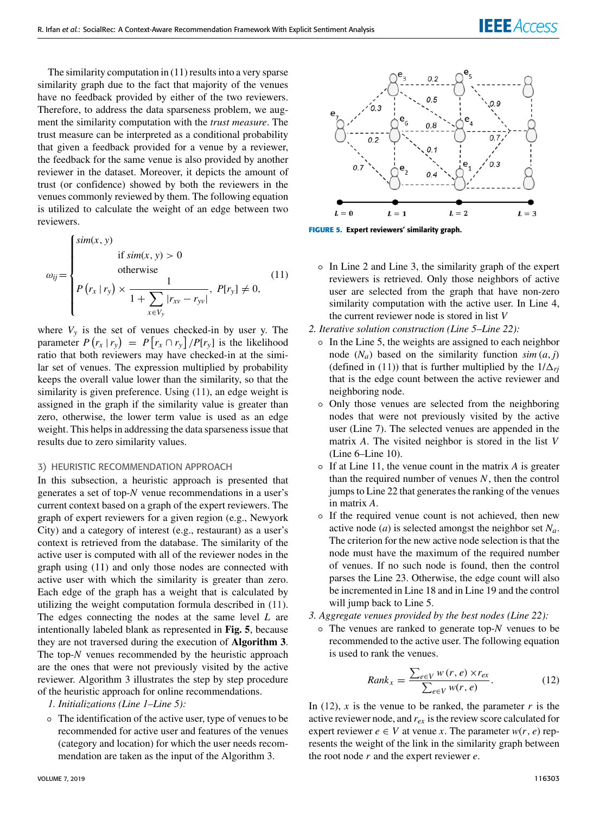The similarity computation in (11) results into a very sparse similarity graph due to the fact that majority of the venues have no feedback provided by either of the two reviewers. Therefore, to address the data sparseness problem, we augment the similarity computation with the *trust measure*. The trust measure can be interpreted as a conditional probability that given a feedback provided for a venue by a reviewer, the feedback for the same venue is also provided by another reviewer in the dataset. Moreover, it depicts the amount of trust (or confidence) showed by both the reviewers in the venues commonly reviewed by them. The following equation is utilized to calculate the weight of an edge between two reviewers.

$$
\omega_{ij} = \begin{cases}\n\sin(x, y) & \text{if } \sin(x, y) > 0 \\
\text{otherwise} & \text{otherwise}\n\end{cases}
$$
\n(11)\n
$$
P(r_x | r_y) \times \frac{1}{1 + \sum_{x \in V_y} |r_{xy} - r_{yy}|}, \quad P[r_y] \neq 0,
$$

where  $V_y$  is the set of venues checked-in by user y. The parameter  $P(r_x | r_y) = P(r_x \cap r_y) / P(r_y)$  is the likelihood ratio that both reviewers may have checked-in at the similar set of venues. The expression multiplied by probability keeps the overall value lower than the similarity, so that the similarity is given preference. Using  $(11)$ , an edge weight is assigned in the graph if the similarity value is greater than zero, otherwise, the lower term value is used as an edge weight. This helps in addressing the data sparseness issue that results due to zero similarity values.

#### 3) HEURISTIC RECOMMENDATION APPROACH

In this subsection, a heuristic approach is presented that generates a set of top-*N* venue recommendations in a user's current context based on a graph of the expert reviewers. The graph of expert reviewers for a given region (e.g., Newyork City) and a category of interest (e.g., restaurant) as a user's context is retrieved from the database. The similarity of the active user is computed with all of the reviewer nodes in the graph using (11) and only those nodes are connected with active user with which the similarity is greater than zero. Each edge of the graph has a weight that is calculated by utilizing the weight computation formula described in (11). The edges connecting the nodes at the same level *L* are intentionally labeled blank as represented in **Fig. 5**, because they are not traversed during the execution of **Algorithm 3**. The top-*N* venues recommended by the heuristic approach are the ones that were not previously visited by the active reviewer. Algorithm 3 illustrates the step by step procedure of the heuristic approach for online recommendations.

*1. Initializations (Line 1–Line 5):*

◦ The identification of the active user, type of venues to be recommended for active user and features of the venues (category and location) for which the user needs recommendation are taken as the input of the Algorithm 3.



**FIGURE 5.** Expert reviewers' similarity graph.

- In Line 2 and Line 3, the similarity graph of the expert reviewers is retrieved. Only those neighbors of active user are selected from the graph that have non-zero similarity computation with the active user. In Line 4, the current reviewer node is stored in list *V*
- *2. Iterative solution construction (Line 5*–*Line 22):*
	- In the Line 5, the weights are assigned to each neighbor node  $(N_a)$  based on the similarity function  $sim (a, j)$ (defined in (11)) that is further multiplied by the  $1/\Delta_{ri}$ that is the edge count between the active reviewer and neighboring node.
	- Only those venues are selected from the neighboring nodes that were not previously visited by the active user (Line 7). The selected venues are appended in the matrix *A*. The visited neighbor is stored in the list *V* (Line 6–Line 10).
	- If at Line 11, the venue count in the matrix *A* is greater than the required number of venues  $N$ , then the control jumps to Line 22 that generates the ranking of the venues in matrix *A*.
	- If the required venue count is not achieved, then new active node (*a*) is selected amongst the neighbor set *Na*. The criterion for the new active node selection is that the node must have the maximum of the required number of venues. If no such node is found, then the control parses the Line 23. Otherwise, the edge count will also be incremented in Line 18 and in Line 19 and the control will jump back to Line 5.
- *3. Aggregate venues provided by the best nodes (Line 22):*
	- The venues are ranked to generate top-*N* venues to be recommended to the active user. The following equation is used to rank the venues.

$$
Rank_x = \frac{\sum_{e \in V} w(r, e) \times r_{ex}}{\sum_{e \in V} w(r, e)}.
$$
\n(12)

In (12),  $x$  is the venue to be ranked, the parameter  $r$  is the active reviewer node, and *rex* is the review score calculated for expert reviewer  $e \in V$  at venue *x*. The parameter  $w(r, e)$  represents the weight of the link in the similarity graph between the root node *r* and the expert reviewer *e*.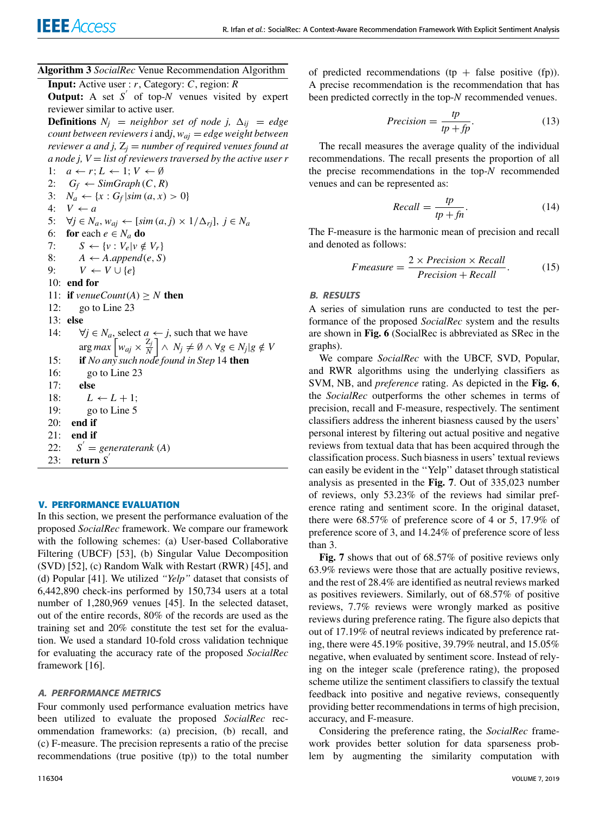**Algorithm 3** *SocialRec* Venue Recommendation Algorithm **Input:** Active user : *r*, Category: *C*, region: *R* **Output:** A set  $S'$  of top- $N$  venues visited by expert reviewer similar to active user. **Definitions**  $N_i$  = *neighbor set of node j,*  $\Delta_{ii}$  = *edge count between reviewers i* and*j*, *waj* = *edge weight between reviewer a and j,*  $Z_i$  = *number of required venues found at a node j, V* = *list of reviewers traversed by the active user r* 1:  $a \leftarrow r; L \leftarrow 1; V \leftarrow \emptyset$ 2:  $G_f \leftarrow \text{SimGraph}(C, R)$ 3:  $N_a \leftarrow \{x : G_f | \text{sim } (a, x) > 0 \}$ 4:  $V \leftarrow a$ 5:  $\forall j \in N_a, w_{aj} \leftarrow [\text{sim}(a, j) \times 1/\Delta_{rj}], j \in N_a$ 6: **for** each  $e \in N_a$  **do** 7:  $S \leftarrow \{v : V_e | v \notin V_r\}$ 8:  $A \leftarrow A.append(e, S)$ 9:  $V \leftarrow V \cup \{e\}$ 10: **end for** 11: **if** *venueCount*( $A$ )  $\geq N$  **then** 12: go to Line 23 13: **else** 14:  $\forall j \in N_a$ , select  $a \leftarrow j$ , such that we have arg *max*  $w_{aj} \times \frac{Z_j}{N}$  $\left[\frac{Z_j}{N}\right] \wedge N_j \neq \emptyset \wedge \forall g \in N_j | g \notin V$ 15: **if** *No any such node found in Step* 14 **then** 16: go to Line 23 17: **else** 18:  $L \leftarrow L + 1$ ; 19: go to Line 5 20: **end if** 21: **end if** 22: *S* ′ = *generaterank* (*A*) ′ 23: **return** *S*

## **V. PERFORMANCE EVALUATION**

In this section, we present the performance evaluation of the proposed *SocialRec* framework. We compare our framework with the following schemes: (a) User-based Collaborative Filtering (UBCF) [53], (b) Singular Value Decomposition (SVD) [52], (c) Random Walk with Restart (RWR) [45], and (d) Popular [41]. We utilized *''Yelp''* dataset that consists of 6,442,890 check-ins performed by 150,734 users at a total number of 1,280,969 venues [45]. In the selected dataset, out of the entire records, 80% of the records are used as the training set and 20% constitute the test set for the evaluation. We used a standard 10-fold cross validation technique for evaluating the accuracy rate of the proposed *SocialRec* framework [16].

# A. PERFORMANCE METRICS

Four commonly used performance evaluation metrics have been utilized to evaluate the proposed *SocialRec* recommendation frameworks: (a) precision, (b) recall, and (c) F-measure. The precision represents a ratio of the precise recommendations (true positive (tp)) to the total number of predicted recommendations (tp  $+$  false positive (fp)). A precise recommendation is the recommendation that has been predicted correctly in the top-*N* recommended venues.

$$
Precision = \frac{tp}{tp + fp}.
$$
\n(13)

The recall measures the average quality of the individual recommendations. The recall presents the proportion of all the precise recommendations in the top-*N* recommended venues and can be represented as:

$$
Recall = \frac{tp}{tp + fn}.
$$
\n(14)

The F-measure is the harmonic mean of precision and recall and denoted as follows:

$$
Fmeasure = \frac{2 \times Precision \times Recall}{Precision + Recall}.
$$
 (15)

## B. RESULTS

A series of simulation runs are conducted to test the performance of the proposed *SocialRec* system and the results are shown in **Fig. 6** (SocialRec is abbreviated as SRec in the graphs).

We compare *SocialRec* with the UBCF, SVD, Popular, and RWR algorithms using the underlying classifiers as SVM, NB, and *preference* rating. As depicted in the **Fig. 6**, the *SocialRec* outperforms the other schemes in terms of precision, recall and F-measure, respectively. The sentiment classifiers address the inherent biasness caused by the users' personal interest by filtering out actual positive and negative reviews from textual data that has been acquired through the classification process. Such biasness in users' textual reviews can easily be evident in the ''Yelp'' dataset through statistical analysis as presented in the **Fig. 7**. Out of 335,023 number of reviews, only 53.23% of the reviews had similar preference rating and sentiment score. In the original dataset, there were 68.57% of preference score of 4 or 5, 17.9% of preference score of 3, and 14.24% of preference score of less than 3.

**Fig. 7** shows that out of 68.57% of positive reviews only 63.9% reviews were those that are actually positive reviews, and the rest of 28.4% are identified as neutral reviews marked as positives reviewers. Similarly, out of 68.57% of positive reviews, 7.7% reviews were wrongly marked as positive reviews during preference rating. The figure also depicts that out of 17.19% of neutral reviews indicated by preference rating, there were 45.19% positive, 39.79% neutral, and 15.05% negative, when evaluated by sentiment score. Instead of relying on the integer scale (preference rating), the proposed scheme utilize the sentiment classifiers to classify the textual feedback into positive and negative reviews, consequently providing better recommendations in terms of high precision, accuracy, and F-measure.

Considering the preference rating, the *SocialRec* framework provides better solution for data sparseness problem by augmenting the similarity computation with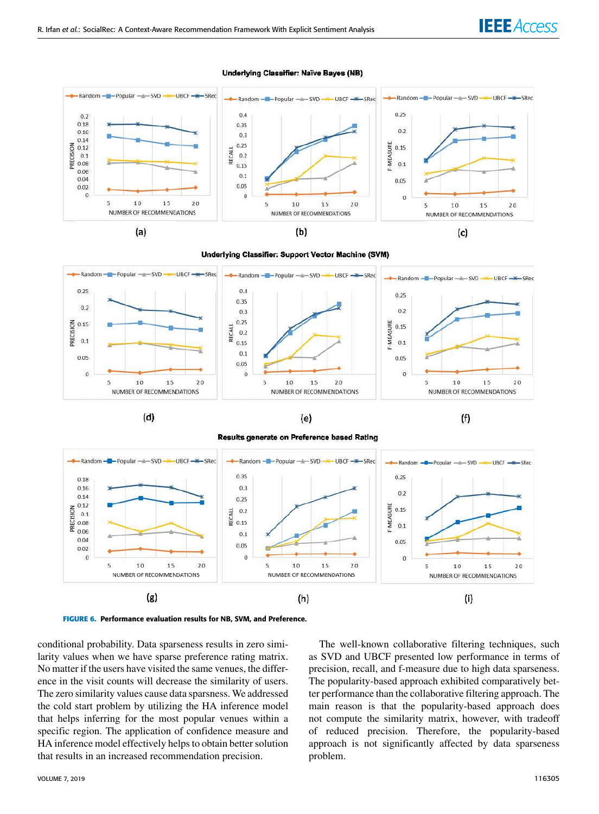

#### Underlying Classifier: Naïve Bayes (NB)









Results generate on Preference based Rating

 $(e)$ 





conditional probability. Data sparseness results in zero similarity values when we have sparse preference rating matrix. No matter if the users have visited the same venues, the difference in the visit counts will decrease the similarity of users. The zero similarity values cause data sparsness. We addressed the cold start problem by utilizing the HA inference model that helps inferring for the most popular venues within a specific region. The application of confidence measure and HA inference model effectively helps to obtain better solution that results in an increased recommendation precision.

The well-known collaborative filtering techniques, such as SVD and UBCF presented low performance in terms of precision, recall, and f-measure due to high data sparseness. The popularity-based approach exhibited comparatively better performance than the collaborative filtering approach. The main reason is that the popularity-based approach does not compute the similarity matrix, however, with tradeoff of reduced precision. Therefore, the popularity-based approach is not significantly affected by data sparseness problem.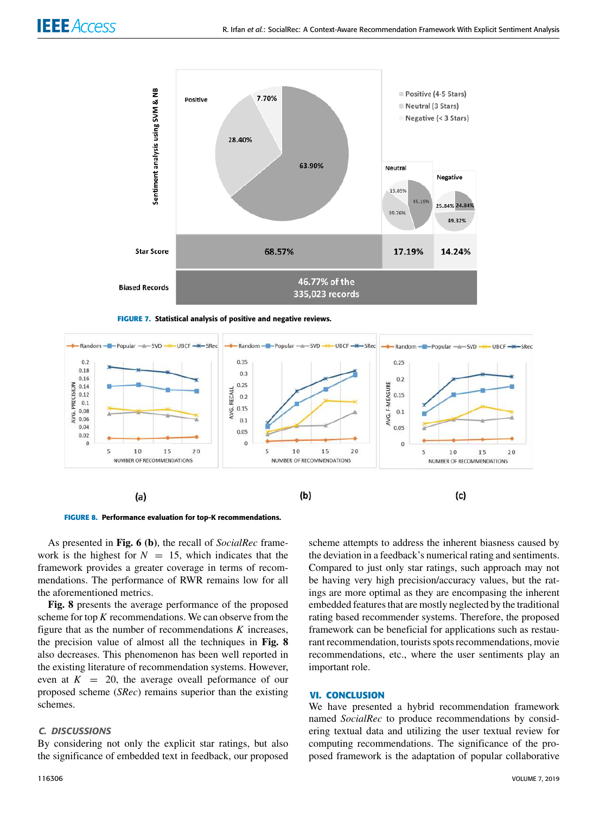

**FIGURE 7.** Statistical analysis of positive and negative reviews.



 $(a)$ 

**FIGURE 8.** Performance evaluation for top-K recommendations.

As presented in **Fig. 6 (b)**, the recall of *SocialRec* framework is the highest for  $N = 15$ , which indicates that the framework provides a greater coverage in terms of recommendations. The performance of RWR remains low for all the aforementioned metrics.

**Fig. 8** presents the average performance of the proposed scheme for top *K* recommendations. We can observe from the figure that as the number of recommendations *K* increases, the precision value of almost all the techniques in **Fig. 8** also decreases. This phenomenon has been well reported in the existing literature of recommendation systems. However, even at  $K = 20$ , the average oveall peformance of our proposed scheme (*SRec*) remains superior than the existing schemes.

## C. DISCUSSIONS

By considering not only the explicit star ratings, but also the significance of embedded text in feedback, our proposed

scheme attempts to address the inherent biasness caused by the deviation in a feedback's numerical rating and sentiments. Compared to just only star ratings, such approach may not be having very high precision/accuracy values, but the ratings are more optimal as they are encompasing the inherent embedded features that are mostly neglected by the traditional rating based recommender systems. Therefore, the proposed framework can be beneficial for applications such as restaurant recommendation, tourists spots recommendations, movie recommendations, etc., where the user sentiments play an important role.

#### **VI. CONCLUSION**

We have presented a hybrid recommendation framework named *SocialRec* to produce recommendations by considering textual data and utilizing the user textual review for computing recommendations. The significance of the proposed framework is the adaptation of popular collaborative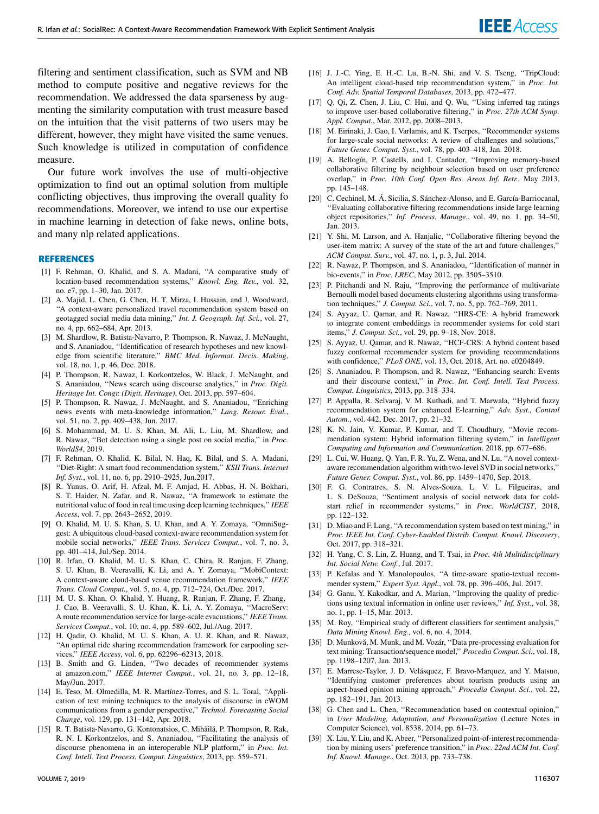filtering and sentiment classification, such as SVM and NB method to compute positive and negative reviews for the recommendation. We addressed the data sparseness by augmenting the similarity computation with trust measure based on the intuition that the visit patterns of two users may be different, however, they might have visited the same venues. Such knowledge is utilized in computation of confidence measure.

Our future work involves the use of multi-objective optimization to find out an optimal solution from multiple conflicting objectives, thus improving the overall quality fo recommendations. Moreover, we intend to use our expertise in machine learning in detection of fake news, online bots, and many nlp related applications.

#### **REFERENCES**

- [1] F. Rehman, O. Khalid, and S. A. Madani, ''A comparative study of location-based recommendation systems,'' *Knowl. Eng. Rev.*, vol. 32, no. e7, pp. 1–30, Jan. 2017.
- [2] A. Majid, L. Chen, G. Chen, H. T. Mirza, I. Hussain, and J. Woodward, ''A context-aware personalized travel recommendation system based on geotagged social media data mining,'' *Int. J. Geograph. Inf. Sci.*, vol. 27, no. 4, pp. 662–684, Apr. 2013.
- [3] M. Shardlow, R. Batista-Navarro, P. Thompson, R. Nawaz, J. McNaught, and S. Ananiadou, ''Identification of research hypotheses and new knowledge from scientific literature,'' *BMC Med. Informat. Decis. Making*, vol. 18, no. 1, p. 46, Dec. 2018.
- [4] P. Thompson, R. Nawaz, I. Korkontzelos, W. Black, J. McNaught, and S. Ananiadou, ''News search using discourse analytics,'' in *Proc. Digit. Heritage Int. Congr. (Digit. Heritage)*, Oct. 2013, pp. 597–604.
- [5] P. Thompson, R. Nawaz, J. McNaught, and S. Ananiadou, ''Enriching news events with meta-knowledge information,'' *Lang. Resour. Eval.*, vol. 51, no. 2, pp. 409–438, Jun. 2017.
- [6] S. Mohammad, M. U. S. Khan, M. Ali, L. Liu, M. Shardlow, and R. Nawaz, ''Bot detection using a single post on social media,'' in *Proc. WorldS4*, 2019.
- [7] F. Rehman, O. Khalid, K. Bilal, N. Haq, K. Bilal, and S. A. Madani, ''Diet-Right: A smart food recommendation system,'' *KSII Trans. Internet Inf. Syst.*, vol. 11, no. 6, pp. 2910–2925, Jun.2017.
- [8] R. Yunus, O. Arif, H. Afzal, M. F. Amjad, H. Abbas, H. N. Bokhari, S. T. Haider, N. Zafar, and R. Nawaz, ''A framework to estimate the nutritional value of food in real time using deep learning techniques,'' *IEEE Access*, vol. 7, pp. 2643–2652, 2019.
- [9] O. Khalid, M. U. S. Khan, S. U. Khan, and A. Y. Zomaya, ''OmniSuggest: A ubiquitous cloud-based context-aware recommendation system for mobile social networks,'' *IEEE Trans. Services Comput.*, vol. 7, no. 3, pp. 401–414, Jul./Sep. 2014.
- [10] R. Irfan, O. Khalid, M. U. S. Khan, C. Chira, R. Ranjan, F. Zhang, S. U. Khan, B. Veeravalli, K. Li, and A. Y. Zomaya, ''MobiContext: A context-aware cloud-based venue recommendation framework,'' *IEEE Trans. Cloud Comput.*, vol. 5, no. 4, pp. 712–724, Oct./Dec. 2017.
- [11] M. U. S. Khan, O. Khalid, Y. Huang, R. Ranjan, F. Zhang, F. Zhang, J. Cao, B. Veeravalli, S. U. Khan, K. Li, A. Y. Zomaya, ''MacroServ: A route recommendation service for large-scale evacuations,'' *IEEE Trans. Services Comput.*, vol. 10, no. 4, pp. 589–602, Jul./Aug. 2017.
- [12] H. Qadir, O. Khalid, M. U. S. Khan, A. U. R. Khan, and R. Nawaz, ''An optimal ride sharing recommendation framework for carpooling services,'' *IEEE Access*, vol. 6, pp. 62296–62313, 2018.
- [13] B. Smith and G. Linden, "Two decades of recommender systems at amazon.com,'' *IEEE Internet Comput.*, vol. 21, no. 3, pp. 12–18, May/Jun. 2017.
- [14] E. Teso, M. Olmedilla, M. R. Martínez-Torres, and S. L. Toral, "Application of text mining techniques to the analysis of discourse in eWOM communications from a gender perspective,'' *Technol. Forecasting Social Change*, vol. 129, pp. 131–142, Apr. 2018.
- [15] R. T. Batista-Navarro, G. Kontonatsios, C. Mihăilă, P. Thompson, R. Rak, R. N. I. Korkontzelos, and S. Ananiadou, ''Facilitating the analysis of discourse phenomena in an interoperable NLP platform,'' in *Proc. Int. Conf. Intell. Text Process. Comput. Linguistics*, 2013, pp. 559–571.
- [16] J. J.-C. Ying, E. H.-C. Lu, B.-N. Shi, and V. S. Tseng, "TripCloud: An intelligent cloud-based trip recommendation system,'' in *Proc. Int. Conf. Adv. Spatial Temporal Databases*, 2013, pp. 472–477.
- [17] Q. Qi, Z. Chen, J. Liu, C. Hui, and Q. Wu, "Using inferred tag ratings to improve user-based collaborative filtering,'' in *Proc. 27th ACM Symp. Appl. Comput.*, Mar. 2012, pp. 2008–2013.
- [18] M. Eirinaki, J. Gao, I. Varlamis, and K. Tserpes, ''Recommender systems for large-scale social networks: A review of challenges and solutions,'' *Future Gener. Comput. Syst.*, vol. 78, pp. 403–418, Jan. 2018.
- [19] A. Bellogín, P. Castells, and I. Cantador, ''Improving memory-based collaborative filtering by neighbour selection based on user preference overlap,'' in *Proc. 10th Conf. Open Res. Areas Inf. Retr.*, May 2013, pp. 145–148.
- [20] C. Cechinel, M. Á. Sicilia, S. Sánchez-Alonso, and E. García-Barriocanal, ''Evaluating collaborative filtering recommendations inside large learning object repositories,'' *Inf. Process. Manage.*, vol. 49, no. 1, pp. 34–50, Jan. 2013.
- [21] Y. Shi, M. Larson, and A. Hanjalic, "Collaborative filtering beyond the user-item matrix: A survey of the state of the art and future challenges,'' *ACM Comput. Surv.*, vol. 47, no. 1, p. 3, Jul. 2014.
- [22] R. Nawaz, P. Thompson, and S. Ananiadou, ''Identification of manner in bio-events,'' in *Proc. LREC*, May 2012, pp. 3505–3510.
- [23] P. Pitchandi and N. Raju, "Improving the performance of multivariate Bernoulli model based documents clustering algorithms using transformation techniques,'' *J. Comput. Sci.*, vol. 7, no. 5, pp. 762–769, 2011.
- [24] S. Ayyaz, U. Qamar, and R. Nawaz, ''HRS-CE: A hybrid framework to integrate content embeddings in recommender systems for cold start items,'' *J. Comput. Sci.*, vol. 29, pp. 9–18, Nov. 2018.
- [25] S. Ayyaz, U. Qamar, and R. Nawaz, ''HCF-CRS: A hybrid content based fuzzy conformal recommender system for providing recommendations with confidence,'' *PLoS ONE*, vol. 13, Oct. 2018, Art. no. e0204849.
- [26] S. Ananiadou, P. Thompson, and R. Nawaz, "Enhancing search: Events and their discourse context,'' in *Proc. Int. Conf. Intell. Text Process. Comput. Linguistics*, 2013, pp. 318–334.
- [27] P. Appalla, R. Selvaraj, V. M. Kuthadi, and T. Marwala, ''Hybrid fuzzy recommendation system for enhanced E-learning,'' *Adv. Syst., Control Autom.*, vol. 442, Dec. 2017, pp. 21–32.
- [28] K. N. Jain, V. Kumar, P. Kumar, and T. Choudhury, "Movie recommendation system: Hybrid information filtering system,'' in *Intelligent Computing and Information and Communication*. 2018, pp. 677–686.
- [29] L. Cui, W. Huang, Q. Yan, F. R. Yu, Z. Wena, and N. Lu, "A novel contextaware recommendation algorithm with two-level SVD in social networks,'' *Future Gener. Comput. Syst.*, vol. 86, pp. 1459–1470, Sep. 2018.
- [30] F. G. Contratres, S. N. Alves-Souza, L. V. L. Filgueiras, and L. S. DeSouza, ''Sentiment analysis of social network data for coldstart relief in recommender systems,'' in *Proc. WorldCIST*, 2018, pp. 122–132.
- [31] D. Miao and F. Lang, "A recommendation system based on text mining," in *Proc. IEEE Int. Conf. Cyber-Enabled Distrib. Comput. Knowl. Discovery*, Oct. 2017, pp. 318–321.
- [32] H. Yang, C. S. Lin, Z. Huang, and T. Tsai, in *Proc. 4th Multidisciplinary Int. Social Netw. Conf.*, Jul. 2017.
- [33] P. Kefalas and Y. Manolopoulos, "A time-aware spatio-textual recommender system,'' *Expert Syst. Appl.*, vol. 78, pp. 396–406, Jul. 2017.
- [34] G. Ganu, Y. Kakodkar, and A. Marian, "Improving the quality of predictions using textual information in online user reviews,'' *Inf. Syst.*, vol. 38, no. 1, pp. 1–15, Mar. 2013.
- [35] M. Roy, "Empirical study of different classifiers for sentiment analysis," *Data Mining Knowl. Eng.*, vol. 6, no. 4, 2014.
- [36] D. Munkovă, M. Munk, and M. Vozár, "Data pre-processing evaluation for text mining: Transaction/sequence model,'' *Procedia Comput. Sci.*, vol. 18, pp. 1198–1207, Jan. 2013.
- [37] E. Marrese-Taylor, J. D. Velásquez, F. Bravo-Marquez, and Y. Matsuo, ''Identifying customer preferences about tourism products using an aspect-based opinion mining approach,'' *Procedia Comput. Sci.*, vol. 22, pp. 182–191, Jan. 2013.
- [38] G. Chen and L. Chen, "Recommendation based on contextual opinion," in *User Modeling, Adaptation, and Personalization* (Lecture Notes in Computer Science), vol. 8538. 2014, pp. 61–73.
- [39] X. Liu, Y. Liu, and K. Abeer, "Personalized point-of-interest recommendation by mining users' preference transition,'' in *Proc. 22nd ACM Int. Conf. Inf. Knowl. Manage.*, Oct. 2013, pp. 733–738.